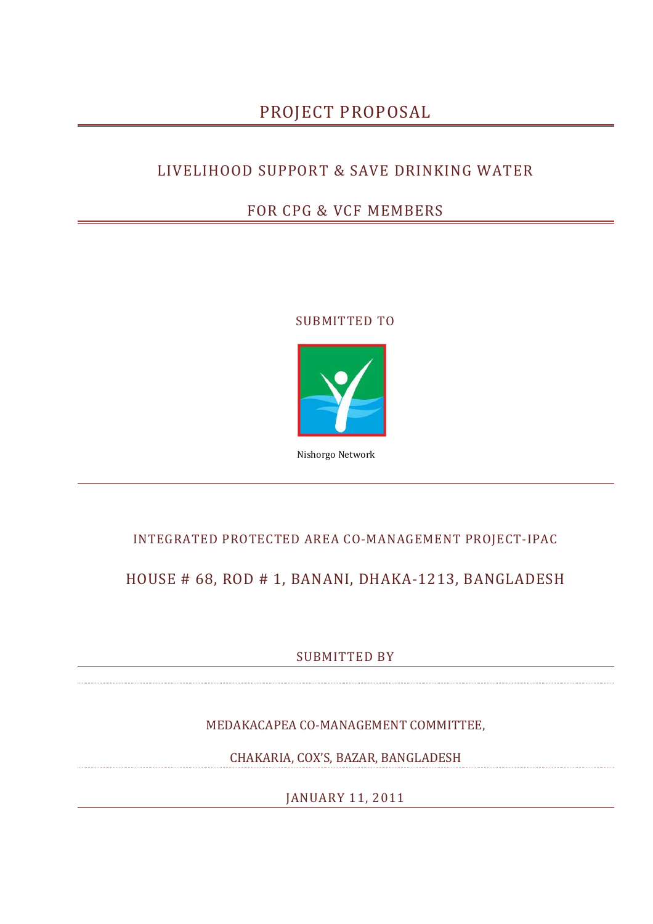# PROJECT PROPOSAL

## LIVELIHOOD SUPPORT & SAVE DRINKING WATER

## FOR CPG & VCF MEMBERS

### SUBMITTED TO



Nishorgo Network

### INTEGRATED PROTECTED AREA CO-MANAGEMENT PROJECT-IPAC

## HOUSE # 68, ROD # 1, BANANI, DHAKA-1213, BANGLADESH

SUBMITTED BY

MEDAKACAPEA CO-MANAGEMENT COMMITTEE,

CHAKARIA, COX'S, BAZAR, BANGLADESH

JANUARY 11, 2011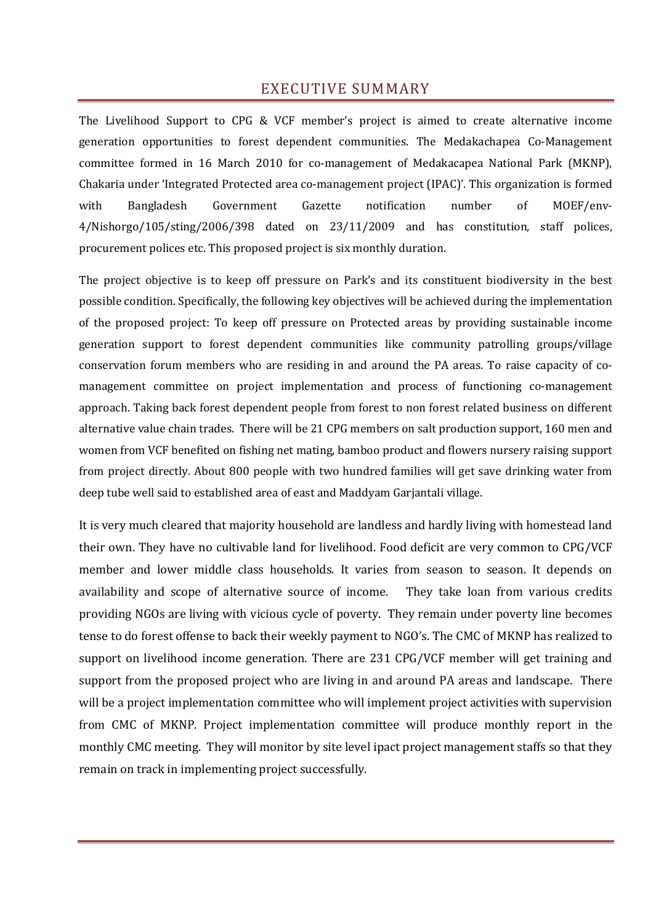### EXECUTIVE SUMMARY

The Livelihood Support to CPG & VCF member's project is aimed to create alternative income generation opportunities to forest dependent communities. The Medakachapea Co-Management committee formed in 16 March 2010 for co-management of Medakacapea National Park (MKNP), Chakaria under 'Integrated Protected area co-management project (IPAC)'. This organization is formed with Bangladesh Government Gazette notification number of MOEF/env-4/Nishorgo/105/sting/2006/398 dated on 23/11/2009 and has constitution, staff polices, procurement polices etc. This proposed project is six monthly duration.

The project objective is to keep off pressure on Park's and its constituent biodiversity in the best possible condition. Specifically, the following key objectives will be achieved during the implementation of the proposed project: To keep off pressure on Protected areas by providing sustainable income generation support to forest dependent communities like community patrolling groups/village conservation forum members who are residing in and around the PA areas. To raise capacity of comanagement committee on project implementation and process of functioning co-management approach. Taking back forest dependent people from forest to non forest related business on different alternative value chain trades. There will be 21 CPG members on salt production support, 160 men and women from VCF benefited on fishing net mating, bamboo product and flowers nursery raising support from project directly. About 800 people with two hundred families will get save drinking water from deep tube well said to established area of east and Maddyam Garjantali village.

It is very much cleared that majority household are landless and hardly living with homestead land their own. They have no cultivable land for livelihood. Food deficit are very common to CPG/VCF member and lower middle class households. It varies from season to season. It depends on availability and scope of alternative source of income. They take loan from various credits providing NGOs are living with vicious cycle of poverty. They remain under poverty line becomes tense to do forest offense to back their weekly payment to NGO's. The CMC of MKNP has realized to support on livelihood income generation. There are 231 CPG/VCF member will get training and support from the proposed project who are living in and around PA areas and landscape. There will be a project implementation committee who will implement project activities with supervision from CMC of MKNP. Project implementation committee will produce monthly report in the monthly CMC meeting. They will monitor by site level ipact project management staffs so that they remain on track in implementing project successfully.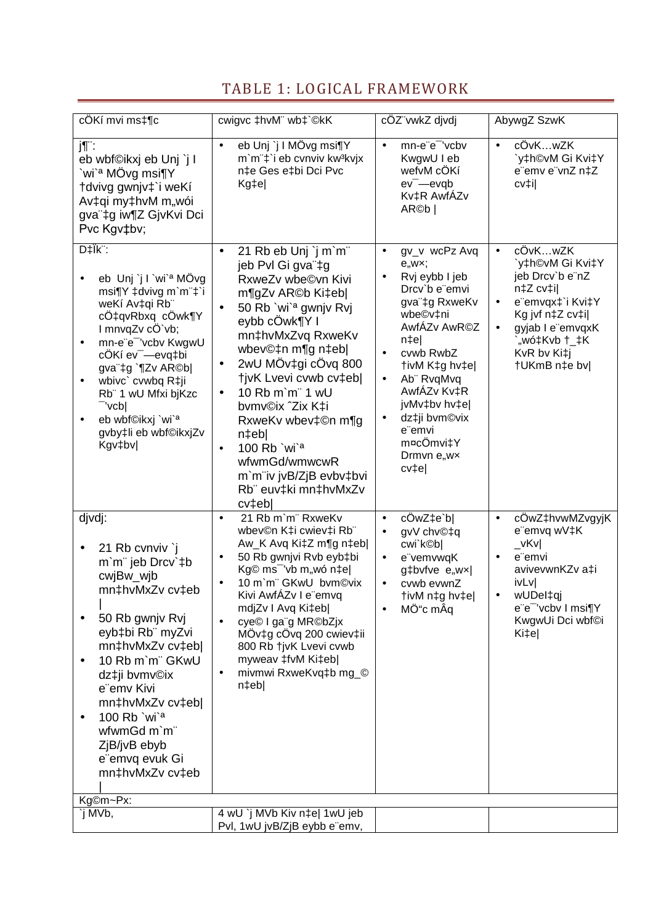# TABLE 1: LOGICAL FRAMEWORK

| cÖKí mvi ms‡¶c                                                                                                                                                                                                                                                                                                                                     | cwigvc ‡hvM" wb‡`©kK                                                                                                                                                                                                                                                                                                                                                                                                                                                                  | cÖZ"vwkZ djvdj                                                                                                                                                                                                                                                                                                              | AbywgZ SzwK                                                                                                                                                                                                   |
|----------------------------------------------------------------------------------------------------------------------------------------------------------------------------------------------------------------------------------------------------------------------------------------------------------------------------------------------------|---------------------------------------------------------------------------------------------------------------------------------------------------------------------------------------------------------------------------------------------------------------------------------------------------------------------------------------------------------------------------------------------------------------------------------------------------------------------------------------|-----------------------------------------------------------------------------------------------------------------------------------------------------------------------------------------------------------------------------------------------------------------------------------------------------------------------------|---------------------------------------------------------------------------------------------------------------------------------------------------------------------------------------------------------------|
|                                                                                                                                                                                                                                                                                                                                                    |                                                                                                                                                                                                                                                                                                                                                                                                                                                                                       |                                                                                                                                                                                                                                                                                                                             |                                                                                                                                                                                                               |
| j¶¨:<br>eb wbf©ikxj eb Unj `j I<br>`wi` <sup>a</sup> MÖvg msi¶Y<br>†dvivg gwnjv‡`i weKí<br>Av‡qi my‡hvM m"wói<br>gva"‡g iw¶Z GjvKvi Dci<br>Pvc Kgv‡bv;                                                                                                                                                                                             | eb Unj `j I MÖvg msi¶Y<br>$\bullet$<br>m'm"‡'i eb cvnviv kw3kvjx<br>n‡e Ges e‡bi Dci Pvc<br>Kg‡e                                                                                                                                                                                                                                                                                                                                                                                      | mn-e"e" 'vcbv<br>$\bullet$<br>KwgwU I eb<br>wefvM cÖKí<br>$ev$ <sup>-</sup> $-e$ $v$ q $b$<br>Kv‡R AwfÁZv<br>AR©b                                                                                                                                                                                                           | cÖvKwZK<br>$\bullet$<br>`y‡h©vM Gi Kvi‡Y<br>e"emv e"vnZ n‡Z<br>cv‡i                                                                                                                                           |
| D‡Ïk <sup>":</sup><br>eb Unj`j I`wi` <sup>a</sup> MÖvg<br>msi¶Y ‡dvivg m`m"‡`i<br>weKí Av‡qi Rb"<br>cÖ‡qvRbxq cÖwk¶Y<br>I mnvqZv cÖ`vb;<br>mn-e"e" 'vcbv KwgwU<br>٠<br>cÖKí ev <sup>-</sup> -evq‡bi<br>gva"‡g `¶Zv AR©b <br>wbivc' cvwbq R‡ji<br>Rb" 1 wU Mfxi bjKzc<br>-'vcb <br>eb wbf©ikxj `wi` <sup>a</sup><br>gvby‡li eb wbf©ikxjZv<br>Kgv‡bv | 21 Rb eb Unj `j m`m"<br>$\bullet$<br>jeb Pvl Gi gva"‡g<br>RxweZv wbe©vn Kivi<br>m¶gZv AR©b Ki‡eb <br>50 Rb `wi` <sup>a</sup> gwnjv Rvj<br>$\bullet$<br>eybb cÖwk¶Y I<br>mn‡hvMxZvq RxweKv<br>wbev©‡n m¶g n‡eb <br>2wU MÖv‡gi cÖvq 800<br>$\bullet$<br>tivK Lvevi cvwb cv‡ebl<br>10 Rb m'm" 1 wU<br>$\bullet$<br>bvmv©ix ^Zix K‡i<br>RxweKv wbev‡©n m¶g<br>n‡eb <br>100 Rb `wi` <sup>a</sup><br>$\bullet$<br>wfwmGd/wmwcwR<br>m'm"iv jvB/ZjB evbv‡bvi<br>Rb" euv‡ki mn‡hvMxZv<br>cv‡eb | gv_v wcPz Avq<br>$\bullet$<br>e, wx;<br>Rvj eybb I jeb<br>Drcv'b e"emvi<br>gva"‡g RxweKv<br>wbe©v‡ni<br>AwfÁZv AwR©Z<br>n‡e <br>cvwb RwbZ<br>$\bullet$<br>tivM K‡g hv‡e <br>Ab" RvgMvg<br>$\bullet$<br>AwfAZv Kv‡R<br>jvMv‡bv hv‡e <br>dz‡ji bvm©vix<br>$\bullet$<br>e <sup>"</sup> emvi<br>m¤cÖmvi‡Y<br>Drmvn e"wx<br>cv‡e | cÖvKwZK<br>$\bullet$<br>`y‡h©vM Gi Kvi‡Y<br>jeb Drcv'b e"nZ<br>n‡Z cv‡i <br>e"emvqx‡`i Kvi‡Y<br>$\bullet$<br>Kg jvf n‡Z cv‡il<br>gyjab I e"emvqxK<br>$\bullet$<br>"wó‡Kvb †_‡K<br>KvR bv Ki‡j<br>†UKmB n‡e bv |
| djvdj:<br>21 Rb cvnviv `j<br>m'm" jeb Drcv'#b<br>cwjBw_wjb<br>mn‡hvMxZv cv‡eb<br>50 Rb gwnjv Rvj<br>eyb‡bi Rb" myZvi<br>mn‡hvMxZv cv‡eb <br>10 Rb m'm" GKwU<br>dz‡ji bvmv©ix<br>e"emv Kivi<br>mn‡hvMxZv cv‡eb <br>100 $Rb$ `wi`a<br>wfwmGd m`m"<br>ZjB/jvB ebyb<br>e"emvq evuk Gi<br>mn‡hvMxZv cv‡eb                                               | 21 Rb m'm" RxweKv<br>$\bullet$<br>wbev©n K‡i cwiev‡i Rb"<br>Aw_K Avq Ki‡Z m¶g n‡eb <br>50 Rb gwnjvi Rvb eyb‡bi<br>$\bullet$<br>Kg© ms <sup>-</sup> 'vb m"wó n‡e <br>10 m'm" GKwU bvm©vix<br>$\bullet$<br>Kivi AwfAZv I e"emvq<br>mdjZv I Avq Ki‡eb <br>cye <sup>©</sup> I ga <sup>"</sup> g MR©bZjx<br>MÖv‡g cÖvq 200 cwiev‡ii<br>800 Rb tjvK Lvevi cvwb<br>myweav ‡fvM Ki‡eb <br>mivmwi RxweKvq‡b mg_©<br>$n$ ‡eb                                                                    | cÖwZ‡e`b <br>$\bullet$<br>gvV chv©‡q<br>$\bullet$<br>cwi`k©b <br>e"vemvwqK<br>$\bullet$<br>g‡bvfve e"wx <br>cvwb evwnZ<br>$\bullet$<br> tivM n‡g hv‡e<br>MÖ"c mÂq<br>$\bullet$                                                                                                                                              | cÖwZ‡hvwMZvgyjK<br>$\bullet$<br>e"emvq wV‡K<br>vKvl<br>e"emvi<br>$\bullet$<br>avivevwnKZv a‡i<br>ivLv<br>wUDel‡qj<br>e"e" 'vcbv I msi¶Y<br>KwgwUi Dci wbf©i<br>Ki‡e                                           |
| Kg©m~Px:                                                                                                                                                                                                                                                                                                                                           |                                                                                                                                                                                                                                                                                                                                                                                                                                                                                       |                                                                                                                                                                                                                                                                                                                             |                                                                                                                                                                                                               |
| `j MVb,                                                                                                                                                                                                                                                                                                                                            | 4 wU `j MVb Kiv n‡e  1wU jeb                                                                                                                                                                                                                                                                                                                                                                                                                                                          |                                                                                                                                                                                                                                                                                                                             |                                                                                                                                                                                                               |
|                                                                                                                                                                                                                                                                                                                                                    | Pvl, 1wU jvB/ZjB eybb e"emv,                                                                                                                                                                                                                                                                                                                                                                                                                                                          |                                                                                                                                                                                                                                                                                                                             |                                                                                                                                                                                                               |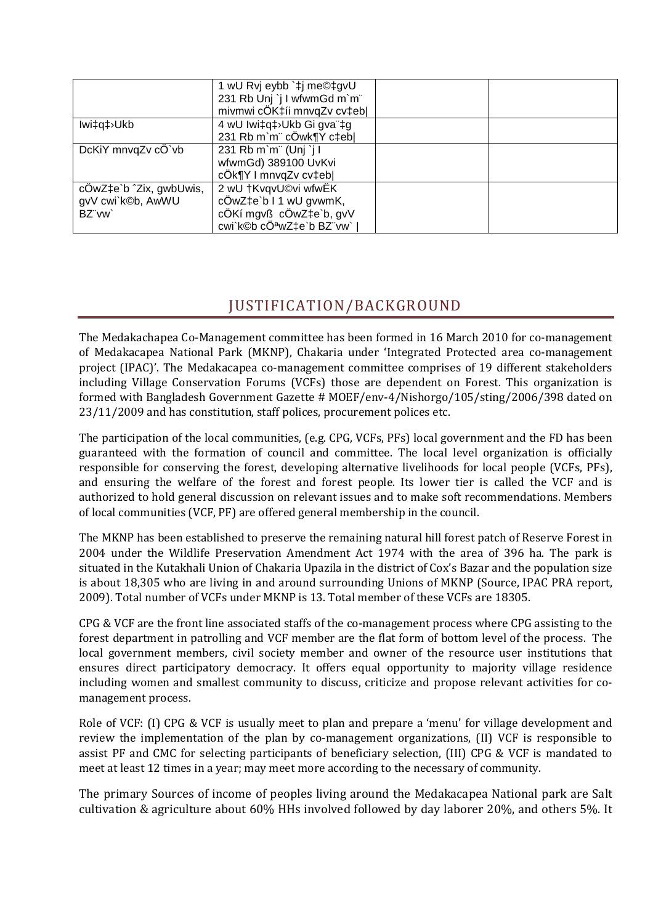|                         | 1 wU Rvj eybb `‡j me©‡gvU   |  |
|-------------------------|-----------------------------|--|
|                         | 231 Rb Unj `j I wfwmGd m`m" |  |
|                         | mivmwi cÖK‡íi mnvqZv cv‡eb  |  |
| lwi‡q‡ <sup>}</sup> Ukb | 4 wU lwi‡q‡>Ukb Gi gva"‡g   |  |
|                         | 231 Rb m'm" cÖwk¶Y c‡eb     |  |
| DcKiY mnvqZv cÖ`vb      | 231 Rb m'm" (Unj `j l       |  |
|                         | wfwmGd) 389100 UvKvi        |  |
|                         | cÖk¶Y I mnvqZv cv‡eb        |  |
| cÖwZ‡e`b ^Zix, gwbUwis, | 2 wU †KvqvU©vi wfwËK        |  |
| gvV cwi`k©b, AwWU       | cÖwZ‡e`b I 1 wU gvwmK,      |  |
| BZ"vw                   | cÖKí mgvß cÖwZ‡e`b, gvV     |  |
|                         | cwi`k©b cÖªwZ‡e`b BZ¨vw`    |  |

## JUSTIFICATION/BACKGROUND

The Medakachapea Co-Management committee has been formed in 16 March 2010 for co-management of Medakacapea National Park (MKNP), Chakaria under 'Integrated Protected area co-management project (IPAC)'. The Medakacapea co-management committee comprises of 19 different stakeholders including Village Conservation Forums (VCFs) those are dependent on Forest. This organization is formed with Bangladesh Government Gazette # MOEF/env-4/Nishorgo/105/sting/2006/398 dated on 23/11/2009 and has constitution, staff polices, procurement polices etc.

The participation of the local communities, (e.g. CPG, VCFs, PFs) local government and the FD has been guaranteed with the formation of council and committee. The local level organization is officially responsible for conserving the forest, developing alternative livelihoods for local people (VCFs, PFs), and ensuring the welfare of the forest and forest people. Its lower tier is called the VCF and is authorized to hold general discussion on relevant issues and to make soft recommendations. Members of local communities (VCF, PF) are offered general membership in the council.

The MKNP has been established to preserve the remaining natural hill forest patch of Reserve Forest in 2004 under the Wildlife Preservation Amendment Act 1974 with the area of 396 ha. The park is situated in the Kutakhali Union of Chakaria Upazila in the district of Cox's Bazar and the population size is about 18,305 who are living in and around surrounding Unions of MKNP (Source, IPAC PRA report, 2009). Total number of VCFs under MKNP is 13. Total member of these VCFs are 18305.

CPG & VCF are the front line associated staffs of the co-management process where CPG assisting to the forest department in patrolling and VCF member are the flat form of bottom level of the process. The local government members, civil society member and owner of the resource user institutions that ensures direct participatory democracy. It offers equal opportunity to majority village residence including women and smallest community to discuss, criticize and propose relevant activities for comanagement process.

Role of VCF: (I) CPG & VCF is usually meet to plan and prepare a 'menu' for village development and review the implementation of the plan by co-management organizations, (II) VCF is responsible to assist PF and CMC for selecting participants of beneficiary selection, (III) CPG & VCF is mandated to meet at least 12 times in a year; may meet more according to the necessary of community.

The primary Sources of income of peoples living around the Medakacapea National park are Salt cultivation & agriculture about 60% HHs involved followed by day laborer 20%, and others 5%. It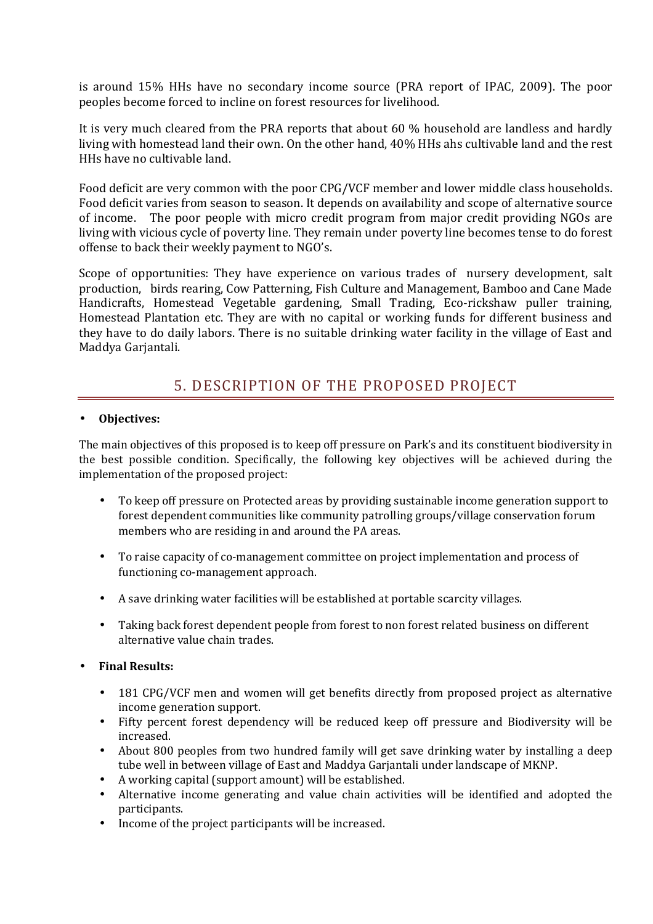is around 15% HHs have no secondary income source (PRA report of IPAC, 2009). The poor peoples become forced to incline on forest resources for livelihood.

It is very much cleared from the PRA reports that about 60 % household are landless and hardly living with homestead land their own. On the other hand, 40% HHs ahs cultivable land and the rest HHs have no cultivable land.

Food deficit are very common with the poor CPG/VCF member and lower middle class households. Food deficit varies from season to season. It depends on availability and scope of alternative source of income. The poor people with micro credit program from major credit providing NGOs are living with vicious cycle of poverty line. They remain under poverty line becomes tense to do forest offense to back their weekly payment to NGO's.

Scope of opportunities: They have experience on various trades of nursery development, salt production, birds rearing, Cow Patterning, Fish Culture and Management, Bamboo and Cane Made Handicrafts, Homestead Vegetable gardening, Small Trading, Eco-rickshaw puller training, Homestead Plantation etc. They are with no capital or working funds for different business and they have to do daily labors. There is no suitable drinking water facility in the village of East and Maddya Garjantali.

## 5. DESCRIPTION OF THE PROPOSED PROJECT

### • **Objectives:**

The main objectives of this proposed is to keep off pressure on Park's and its constituent biodiversity in the best possible condition. Specifically, the following key objectives will be achieved during the implementation of the proposed project:

- To keep off pressure on Protected areas by providing sustainable income generation support to forest dependent communities like community patrolling groups/village conservation forum members who are residing in and around the PA areas.
- To raise capacity of co-management committee on project implementation and process of functioning co-management approach.
- A save drinking water facilities will be established at portable scarcity villages.
- Taking back forest dependent people from forest to non forest related business on different alternative value chain trades.
- **Final Results:** 
	- 181 CPG/VCF men and women will get benefits directly from proposed project as alternative income generation support.
	- Fifty percent forest dependency will be reduced keep off pressure and Biodiversity will be increased.
	- About 800 peoples from two hundred family will get save drinking water by installing a deep tube well in between village of East and Maddya Garjantali under landscape of MKNP.
	- A working capital (support amount) will be established.
	- Alternative income generating and value chain activities will be identified and adopted the participants.
	- Income of the project participants will be increased.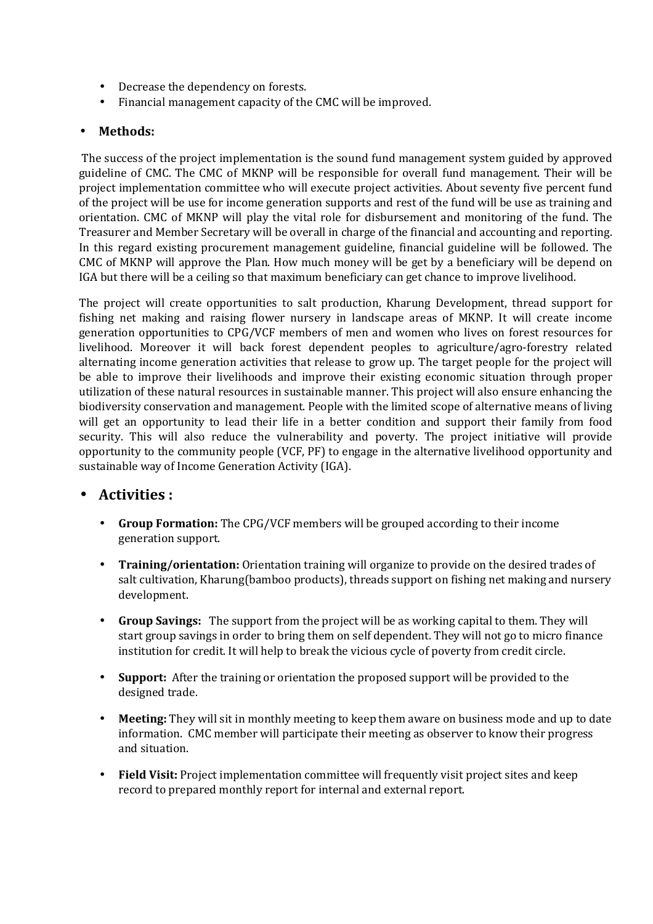- Decrease the dependency on forests.
- Financial management capacity of the CMC will be improved.

### • **Methods:**

 The success of the project implementation is the sound fund management system guided by approved guideline of CMC. The CMC of MKNP will be responsible for overall fund management. Their will be project implementation committee who will execute project activities. About seventy five percent fund of the project will be use for income generation supports and rest of the fund will be use as training and orientation. CMC of MKNP will play the vital role for disbursement and monitoring of the fund. The Treasurer and Member Secretary will be overall in charge of the financial and accounting and reporting. In this regard existing procurement management guideline, financial guideline will be followed. The CMC of MKNP will approve the Plan. How much money will be get by a beneficiary will be depend on IGA but there will be a ceiling so that maximum beneficiary can get chance to improve livelihood.

The project will create opportunities to salt production, Kharung Development, thread support for fishing net making and raising flower nursery in landscape areas of MKNP. It will create income generation opportunities to CPG/VCF members of men and women who lives on forest resources for livelihood. Moreover it will back forest dependent peoples to agriculture/agro-forestry related alternating income generation activities that release to grow up. The target people for the project will be able to improve their livelihoods and improve their existing economic situation through proper utilization of these natural resources in sustainable manner. This project will also ensure enhancing the biodiversity conservation and management. People with the limited scope of alternative means of living will get an opportunity to lead their life in a better condition and support their family from food security. This will also reduce the vulnerability and poverty. The project initiative will provide opportunity to the community people (VCF, PF) to engage in the alternative livelihood opportunity and sustainable way of Income Generation Activity (IGA).

### • **Activities :**

- **Group Formation:** The CPG/VCF members will be grouped according to their income generation support.
- **Training/orientation:** Orientation training will organize to provide on the desired trades of salt cultivation, Kharung(bamboo products), threads support on fishing net making and nursery development.
- **Group Savings:** The support from the project will be as working capital to them. They will start group savings in order to bring them on self dependent. They will not go to micro finance institution for credit. It will help to break the vicious cycle of poverty from credit circle.
- **Support:** After the training or orientation the proposed support will be provided to the designed trade.
- **Meeting:** They will sit in monthly meeting to keep them aware on business mode and up to date information. CMC member will participate their meeting as observer to know their progress and situation.
- **Field Visit:** Project implementation committee will frequently visit project sites and keep record to prepared monthly report for internal and external report.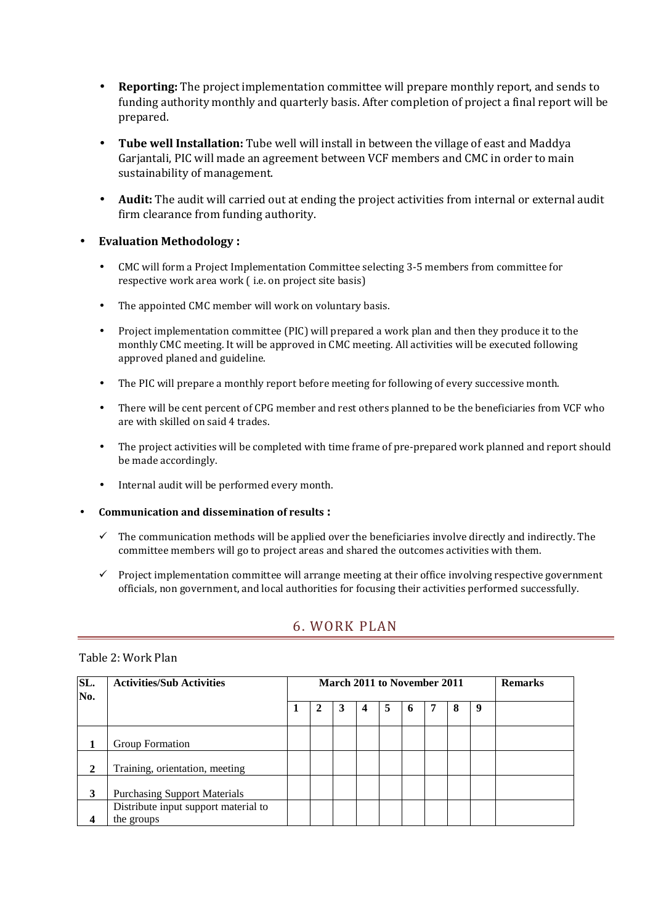- **Reporting:** The project implementation committee will prepare monthly report, and sends to funding authority monthly and quarterly basis. After completion of project a final report will be prepared.
- **Tube well Installation:** Tube well will install in between the village of east and Maddya Garjantali, PIC will made an agreement between VCF members and CMC in order to main sustainability of management.
- **Audit:** The audit will carried out at ending the project activities from internal or external audit firm clearance from funding authority.

#### • **Evaluation Methodology :**

- CMC will form a Project Implementation Committee selecting 3-5 members from committee for respective work area work ( i.e. on project site basis)
- The appointed CMC member will work on voluntary basis.
- Project implementation committee (PIC) will prepared a work plan and then they produce it to the monthly CMC meeting. It will be approved in CMC meeting. All activities will be executed following approved planed and guideline.
- The PIC will prepare a monthly report before meeting for following of every successive month.
- There will be cent percent of CPG member and rest others planned to be the beneficiaries from VCF who are with skilled on said 4 trades.
- The project activities will be completed with time frame of pre-prepared work planned and report should be made accordingly.
- Internal audit will be performed every month.
- **Communication and dissemination of results :**
	- $\checkmark$  The communication methods will be applied over the beneficiaries involve directly and indirectly. The committee members will go to project areas and shared the outcomes activities with them.
	- $\checkmark$  Project implementation committee will arrange meeting at their office involving respective government officials, non government, and local authorities for focusing their activities performed successfully.

### 6. WORK PLAN

#### Table 2: Work Plan

| SL.<br>No.   | <b>Activities/Sub Activities</b>                   |  |   | <b>March 2011 to November 2011</b> |   |   |  |   | <b>Remarks</b> |  |
|--------------|----------------------------------------------------|--|---|------------------------------------|---|---|--|---|----------------|--|
|              |                                                    |  | 2 | 4                                  | 5 | 6 |  | 8 | 9              |  |
|              | Group Formation                                    |  |   |                                    |   |   |  |   |                |  |
| $\mathbf{2}$ | Training, orientation, meeting                     |  |   |                                    |   |   |  |   |                |  |
| 3            | <b>Purchasing Support Materials</b>                |  |   |                                    |   |   |  |   |                |  |
| 4            | Distribute input support material to<br>the groups |  |   |                                    |   |   |  |   |                |  |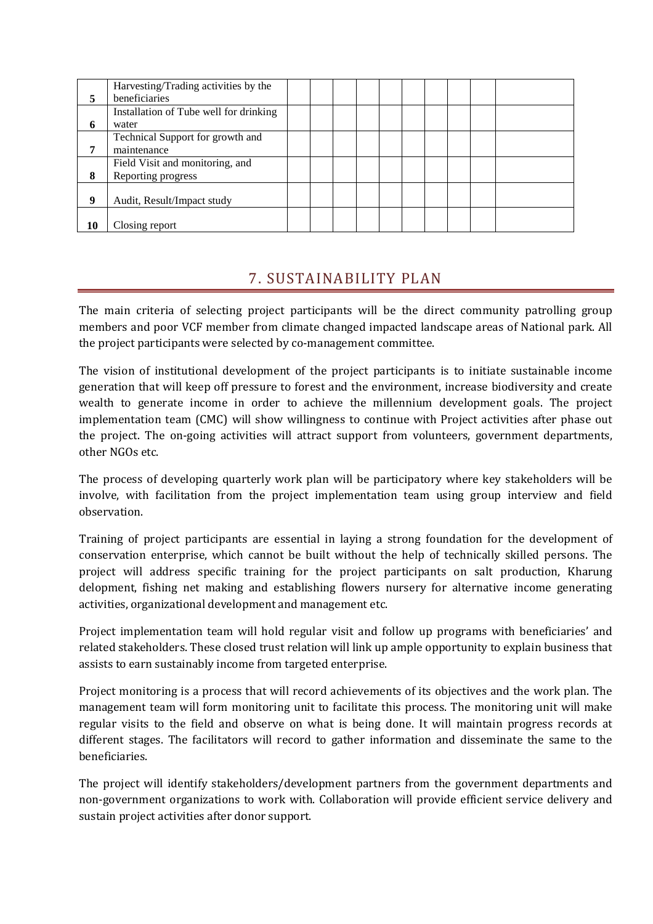|    | Harvesting/Trading activities by the   |  |  |  |  |  |
|----|----------------------------------------|--|--|--|--|--|
| 5  | beneficiaries                          |  |  |  |  |  |
|    | Installation of Tube well for drinking |  |  |  |  |  |
| 6  | water                                  |  |  |  |  |  |
|    | Technical Support for growth and       |  |  |  |  |  |
| 7  | maintenance                            |  |  |  |  |  |
|    | Field Visit and monitoring, and        |  |  |  |  |  |
| 8  | Reporting progress                     |  |  |  |  |  |
|    |                                        |  |  |  |  |  |
| 9  | Audit, Result/Impact study             |  |  |  |  |  |
|    |                                        |  |  |  |  |  |
| 10 | Closing report                         |  |  |  |  |  |

## 7. SUSTAINABILITY PLAN

The main criteria of selecting project participants will be the direct community patrolling group members and poor VCF member from climate changed impacted landscape areas of National park. All the project participants were selected by co-management committee.

The vision of institutional development of the project participants is to initiate sustainable income generation that will keep off pressure to forest and the environment, increase biodiversity and create wealth to generate income in order to achieve the millennium development goals. The project implementation team (CMC) will show willingness to continue with Project activities after phase out the project. The on-going activities will attract support from volunteers, government departments, other NGOs etc.

The process of developing quarterly work plan will be participatory where key stakeholders will be involve, with facilitation from the project implementation team using group interview and field observation.

Training of project participants are essential in laying a strong foundation for the development of conservation enterprise, which cannot be built without the help of technically skilled persons. The project will address specific training for the project participants on salt production, Kharung delopment, fishing net making and establishing flowers nursery for alternative income generating activities, organizational development and management etc.

Project implementation team will hold regular visit and follow up programs with beneficiaries' and related stakeholders. These closed trust relation will link up ample opportunity to explain business that assists to earn sustainably income from targeted enterprise.

Project monitoring is a process that will record achievements of its objectives and the work plan. The management team will form monitoring unit to facilitate this process. The monitoring unit will make regular visits to the field and observe on what is being done. It will maintain progress records at different stages. The facilitators will record to gather information and disseminate the same to the beneficiaries.

The project will identify stakeholders/development partners from the government departments and non-government organizations to work with. Collaboration will provide efficient service delivery and sustain project activities after donor support.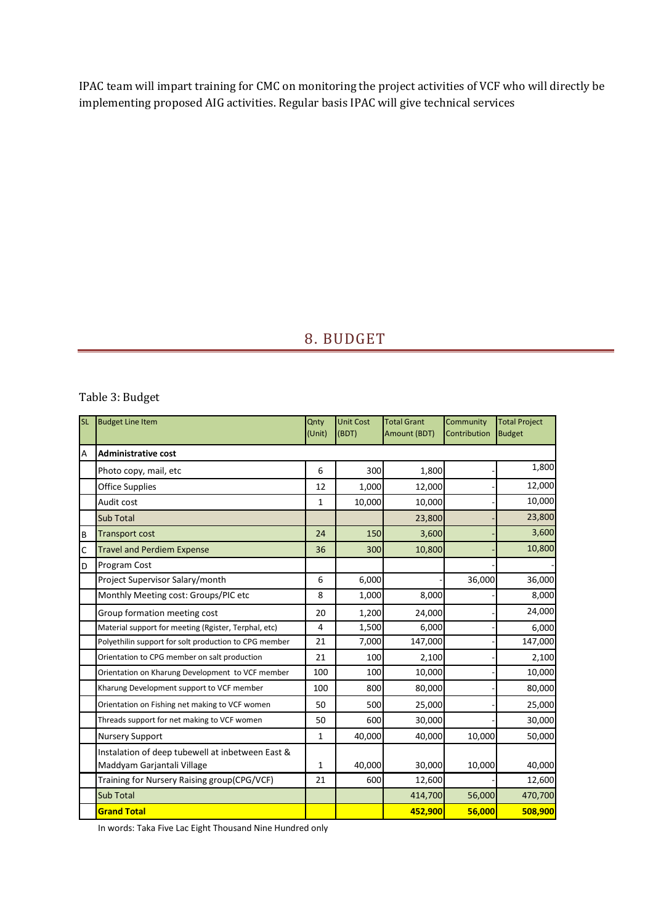IPAC team will impart training for CMC on monitoring the project activities of VCF who will directly be implementing proposed AIG activities. Regular basis IPAC will give technical services

## 8. BUDGET

### Table 3: Budget

| <b>SL</b> | <b>Budget Line Item</b>                                                        | Qnty<br>(Unit) | <b>Unit Cost</b><br>(BDT) | <b>Total Grant</b><br>Amount (BDT) | Community<br>Contribution | <b>Total Project</b><br><b>Budget</b> |
|-----------|--------------------------------------------------------------------------------|----------------|---------------------------|------------------------------------|---------------------------|---------------------------------------|
| A         | <b>Administrative cost</b>                                                     |                |                           |                                    |                           |                                       |
|           | Photo copy, mail, etc                                                          | 6              | 300                       | 1,800                              |                           | 1,800                                 |
|           | Office Supplies                                                                | 12             | 1,000                     | 12,000                             |                           | 12,000                                |
|           | Audit cost                                                                     | $\mathbf{1}$   | 10,000                    | 10,000                             |                           | 10,000                                |
|           | <b>Sub Total</b>                                                               |                |                           | 23,800                             |                           | 23,800                                |
| B         | <b>Transport cost</b>                                                          | 24             | 150                       | 3,600                              |                           | 3,600                                 |
| C         | <b>Travel and Perdiem Expense</b>                                              | 36             | 300                       | 10,800                             |                           | 10,800                                |
| D         | Program Cost                                                                   |                |                           |                                    |                           |                                       |
|           | Project Supervisor Salary/month                                                | 6              | 6,000                     |                                    | 36,000                    | 36,000                                |
|           | Monthly Meeting cost: Groups/PIC etc                                           | 8              | 1,000                     | 8,000                              |                           | 8,000                                 |
|           | Group formation meeting cost                                                   | 20             | 1,200                     | 24,000                             |                           | 24,000                                |
|           | Material support for meeting (Rgister, Terphal, etc)                           | 4              | 1,500                     | 6,000                              |                           | 6,000                                 |
|           | Polyethilin support for solt production to CPG member                          | 21             | 7,000                     | 147,000                            |                           | 147,000                               |
|           | Orientation to CPG member on salt production                                   | 21             | 100                       | 2,100                              |                           | 2,100                                 |
|           | Orientation on Kharung Development to VCF member                               | 100            | 100                       | 10,000                             |                           | 10,000                                |
|           | Kharung Development support to VCF member                                      | 100            | 800                       | 80,000                             |                           | 80,000                                |
|           | Orientation on Fishing net making to VCF women                                 | 50             | 500                       | 25,000                             |                           | 25,000                                |
|           | Threads support for net making to VCF women                                    | 50             | 600                       | 30,000                             |                           | 30,000                                |
|           | <b>Nursery Support</b>                                                         | $\mathbf{1}$   | 40,000                    | 40,000                             | 10,000                    | 50,000                                |
|           | Instalation of deep tubewell at inbetween East &<br>Maddyam Garjantali Village | $\mathbf{1}$   | 40,000                    | 30,000                             | 10,000                    | 40,000                                |
|           | Training for Nursery Raising group(CPG/VCF)                                    | 21             | 600                       | 12,600                             |                           | 12,600                                |
|           | <b>Sub Total</b>                                                               |                |                           | 414,700                            | 56,000                    | 470,700                               |
|           | <b>Grand Total</b>                                                             |                |                           | 452,900                            | 56,000                    | 508,900                               |

In words: Taka Five Lac Eight Thousand Nine Hundred only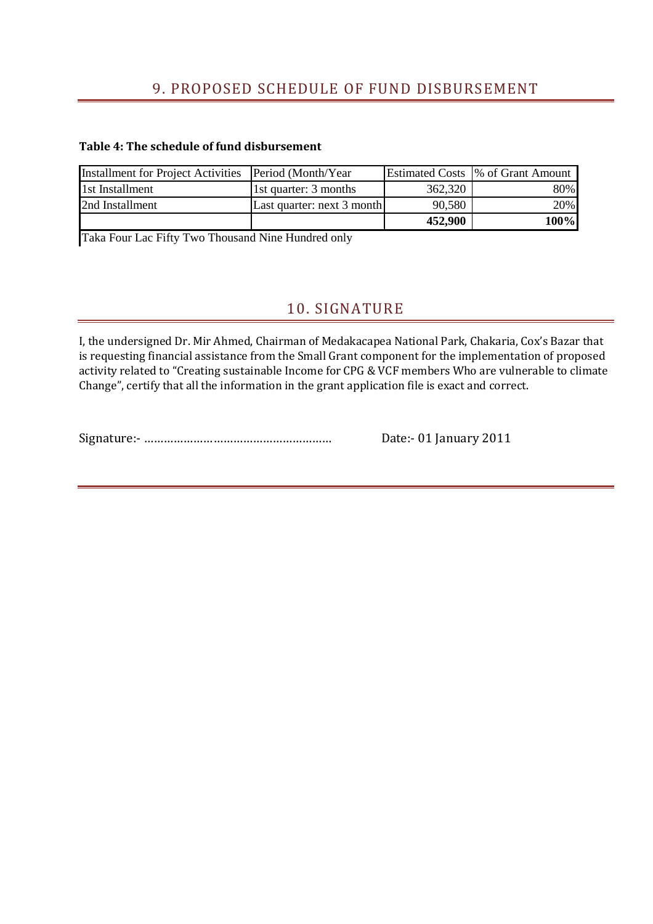## 9. PROPOSED SCHEDULE OF FUND DISBURSEMENT

#### **Table 4: The schedule of fund disbursement**

| Installment for Project Activities Period (Month/Year |                            |         | Estimated Costs  % of Grant Amount |
|-------------------------------------------------------|----------------------------|---------|------------------------------------|
| 1st Installment                                       | 1st quarter: 3 months      | 362,320 | 80%                                |
| 2nd Installment                                       | Last quarter: next 3 month | 90,580  | 20%                                |
|                                                       |                            | 452,900 | 100%                               |

Taka Four Lac Fifty Two Thousand Nine Hundred only

## 10. SIGNATURE

I, the undersigned Dr. Mir Ahmed, Chairman of Medakacapea National Park, Chakaria, Cox's Bazar that is requesting financial assistance from the Small Grant component for the implementation of proposed activity related to "Creating sustainable Income for CPG & VCF members Who are vulnerable to climate Change", certify that all the information in the grant application file is exact and correct.

Signature:- ………………………………………………… Date:- 01 January 2011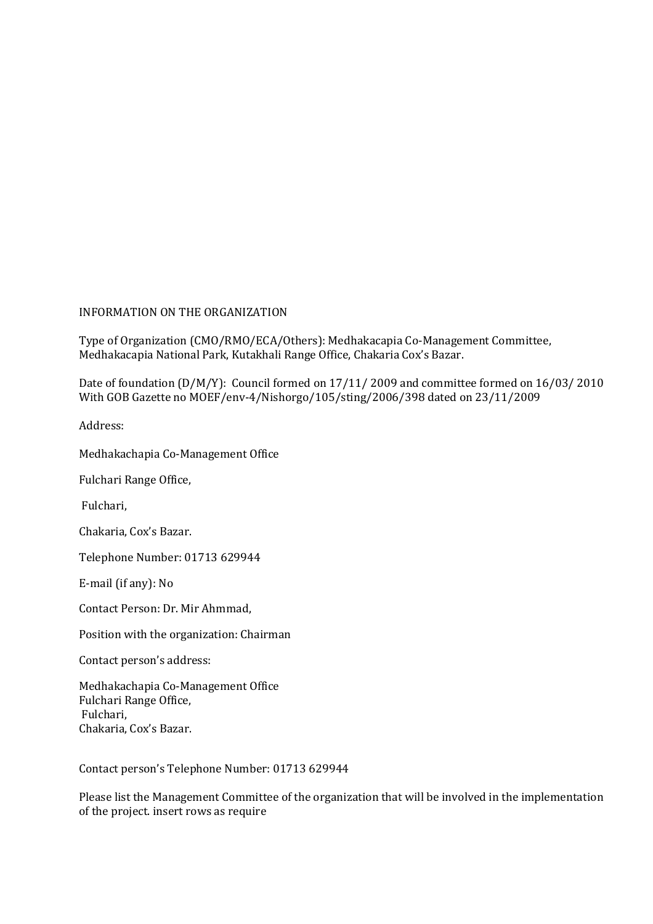#### INFORMATION ON THE ORGANIZATION

Type of Organization (CMO/RMO/ECA/Others): Medhakacapia Co-Management Committee, Medhakacapia National Park, Kutakhali Range Office, Chakaria Cox's Bazar.

Date of foundation (D/M/Y): Council formed on 17/11/ 2009 and committee formed on 16/03/ 2010 With GOB Gazette no MOEF/env-4/Nishorgo/105/sting/2006/398 dated on 23/11/2009

Address:

Medhakachapia Co-Management Office

Fulchari Range Office,

Fulchari,

Chakaria, Cox's Bazar.

Telephone Number: 01713 629944

E-mail (if any): No

Contact Person: Dr. Mir Ahmmad,

Position with the organization: Chairman

Contact person's address:

Medhakachapia Co-Management Office Fulchari Range Office, Fulchari, Chakaria, Cox's Bazar.

Contact person's Telephone Number: 01713 629944

Please list the Management Committee of the organization that will be involved in the implementation of the project. insert rows as require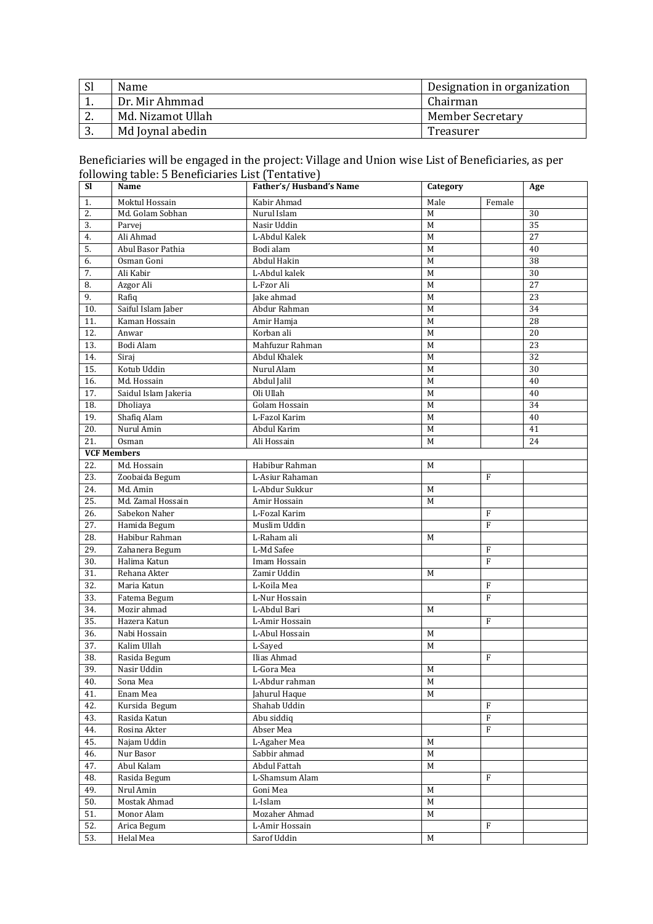| <sub>Sl</sub> | Name              | Designation in organization |
|---------------|-------------------|-----------------------------|
|               | Dr. Mir Ahmmad    | Chairman                    |
| <u>.</u>      | Md. Nizamot Ullah | <b>Member Secretary</b>     |
| .,            | Md Joynal abedin  | Treasurer                   |

#### Beneficiaries will be engaged in the project: Village and Union wise List of Beneficiaries, as per following table: 5 Beneficiaries List (Tentative)

| <b>SI</b>              | ronowing table: o beneneiaries mot (Tentative)<br>Name | Father's/Husband's Name    | Category              |              | Age |
|------------------------|--------------------------------------------------------|----------------------------|-----------------------|--------------|-----|
|                        |                                                        |                            |                       |              |     |
| 1.<br>$\overline{2}$ . | Moktul Hossain<br>Md. Golam Sobhan                     | Kabir Ahmad<br>Nurul Islam | Male<br>M             | Female       | 30  |
| 3.                     | Parvej                                                 | Nasir Uddin                | М                     |              | 35  |
| 4.                     | Ali Ahmad                                              | L-Abdul Kalek              | M                     |              | 27  |
| 5.                     | Abul Basor Pathia                                      | Bodi alam                  | M                     |              | 40  |
| 6.                     | Osman Goni                                             | Abdul Hakin                | M                     |              | 38  |
|                        |                                                        | L-Abdul kalek              | M                     |              | 30  |
| 7.<br>8.               | Ali Kabir                                              | L-Fzor Ali                 | M                     |              | 27  |
|                        | Azgor Ali                                              |                            |                       |              |     |
| 9.                     | Rafiq                                                  | Jake ahmad                 | M                     |              | 23  |
| 10.                    | Saiful Islam Jaber                                     | Abdur Rahman               | M                     |              | 34  |
| 11.                    | Kaman Hossain                                          | Amir Hamja                 | M                     |              | 28  |
| 12.                    | Anwar                                                  | Korban ali                 | M                     |              | 20  |
| 13.                    | Bodi Alam                                              | Mahfuzur Rahman            | M                     |              | 23  |
| 14.                    | Siraj                                                  | Abdul Khalek               | M                     |              | 32  |
| 15.                    | Kotub Uddin                                            | Nurul Alam                 | M                     |              | 30  |
| 16.                    | Md. Hossain                                            | Abdul Jalil                | M                     |              | 40  |
| 17.                    | Saidul Islam Jakeria                                   | Oli Ullah                  | M                     |              | 40  |
| 18.                    | Dholiaya                                               | Golam Hossain              | M                     |              | 34  |
| 19.                    | Shafiq Alam                                            | L-Fazol Karim              | M                     |              | 40  |
| 20.                    | Nurul Amin                                             | Abdul Karim                | M                     |              | 41  |
| 21.                    | Osman                                                  | Ali Hossain                | M                     |              | 24  |
|                        | <b>VCF Members</b>                                     |                            |                       |              |     |
| 22.                    | Md. Hossain                                            | Habibur Rahman             | M                     |              |     |
| 23.                    | Zoobaida Begum                                         | L-Asiur Rahaman            |                       | F            |     |
| 24.                    | Md. Amin                                               | L-Abdur Sukkur             | M                     |              |     |
| 25.                    | Md. Zamal Hossain                                      | Amir Hossain               | M                     |              |     |
| 26.                    | Sabekon Naher                                          | L-Fozal Karim              |                       | $\mathbf{F}$ |     |
| 27.                    | Hamida Begum                                           | Muslim Uddin               |                       | F            |     |
| 28.                    | Habibur Rahman                                         | L-Raham ali                | M                     |              |     |
| 29.                    | Zahanera Begum                                         | L-Md Safee                 |                       | $\mathbf{F}$ |     |
| 30.                    | Halima Katun                                           | Imam Hossain               |                       | F            |     |
| 31.                    | Rehana Akter                                           | Zamir Uddin                | M                     |              |     |
| 32.                    | Maria Katun                                            | L-Koila Mea                |                       | F            |     |
| 33.                    | Fatema Begum                                           | L-Nur Hossain              |                       | F            |     |
| 34.                    | Mozir ahmad                                            | L-Abdul Bari               | M                     |              |     |
| 35.                    | Hazera Katun                                           | L-Amir Hossain             |                       | F            |     |
| 36.                    | Nabi Hossain                                           | L-Abul Hossain             | M                     |              |     |
| 37.                    | Kalim Ullah                                            | L-Sayed                    | M                     |              |     |
| 38.                    | Rasida Begum                                           | Ilias Ahmad                |                       | F            |     |
| 39.                    | Nasir Uddin                                            | $L$ -Gora Mea              | $\overline{\text{M}}$ |              |     |
| 40.                    | Sona Mea                                               | L-Abdur rahman             | M                     |              |     |
| 41.                    | Enam Mea                                               | Jahurul Haque              | M                     |              |     |
| 42.                    | Kursida Begum                                          | Shahab Uddin               |                       | F            |     |
| 43.                    | Rasida Katun                                           | Abu siddiq                 |                       | $\mathbf{F}$ |     |
| 44.                    | Rosina Akter                                           | Abser Mea                  |                       | F            |     |
| 45.                    | Najam Uddin                                            | L-Agaher Mea               | M                     |              |     |
| 46.                    | Nur Basor                                              | Sabbir ahmad               | M                     |              |     |
| 47.                    | Abul Kalam                                             | Abdul Fattah               | $\mathbf M$           |              |     |
| 48.                    | Rasida Begum                                           | L-Shamsum Alam             |                       | F            |     |
| 49.                    |                                                        | Goni Mea                   | M                     |              |     |
| 50.                    | Nrul Amin<br>Mostak Ahmad                              | L-Islam                    | M                     |              |     |
|                        | Monor Alam                                             |                            |                       |              |     |
| 51.                    |                                                        | Mozaher Ahmad              | M                     |              |     |
| 52.                    | Arica Begum                                            | L-Amir Hossain             |                       | F            |     |
| 53.                    | Helal Mea                                              | Sarof Uddin                | $M_{\rm}$             |              |     |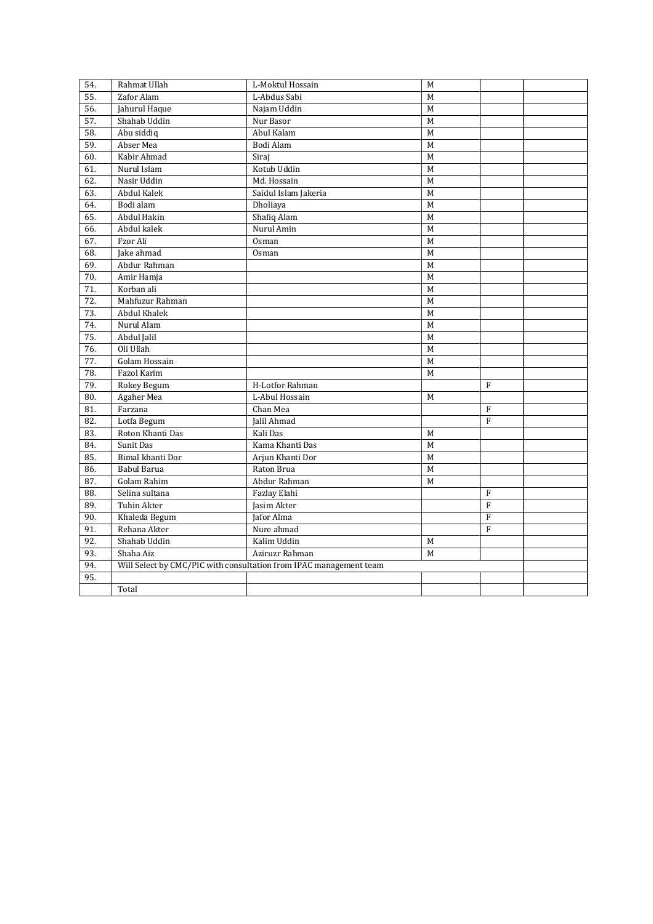| 54. | Rahmat Ullah     | L-Moktul Hossain                                                   | M              |                |  |
|-----|------------------|--------------------------------------------------------------------|----------------|----------------|--|
| 55. | Zafor Alam       | L-Abdus Sabi                                                       | M              |                |  |
| 56. | Jahurul Haque    | Najam Uddin                                                        | M              |                |  |
| 57. | Shahab Uddin     | Nur Basor                                                          | M              |                |  |
| 58. | Abu siddiq       | Abul Kalam                                                         | $\overline{M}$ |                |  |
| 59. | Abser Mea        | Bodi Alam                                                          | M              |                |  |
| 60. | Kabir Ahmad      | Siraj                                                              | M              |                |  |
| 61. | Nurul Islam      | Kotub Uddin                                                        | M              |                |  |
| 62. | Nasir Uddin      | Md. Hossain                                                        | M              |                |  |
| 63. | Abdul Kalek      | Saidul Islam Jakeria                                               | M              |                |  |
| 64. | Bodi alam        | Dholiaya                                                           | M              |                |  |
| 65. | Abdul Hakin      | Shafiq Alam                                                        | M              |                |  |
| 66. | Abdul kalek      | Nurul Amin                                                         | M              |                |  |
| 67. | Fzor Ali         | Osman                                                              | M              |                |  |
| 68. | Jake ahmad       | Osman                                                              | M              |                |  |
| 69. | Abdur Rahman     |                                                                    | M              |                |  |
| 70. | Amir Hamja       |                                                                    | M              |                |  |
| 71. | Korban ali       |                                                                    | M              |                |  |
| 72. | Mahfuzur Rahman  |                                                                    | M              |                |  |
| 73. | Abdul Khalek     |                                                                    | M              |                |  |
| 74. | Nurul Alam       |                                                                    | M              |                |  |
| 75. | Abdul Jalil      |                                                                    | M              |                |  |
| 76. | Oli Ullah        |                                                                    | M              |                |  |
| 77. | Golam Hossain    |                                                                    | M              |                |  |
| 78. | Fazol Karim      |                                                                    | M              |                |  |
| 79. | Rokey Begum      | H-Lotfor Rahman                                                    |                | F              |  |
| 80. | Agaher Mea       | L-Abul Hossain                                                     | M              |                |  |
| 81. | Farzana          | Chan Mea                                                           |                | F              |  |
| 82. | Lotfa Begum      | Jalil Ahmad                                                        |                | $\mathbf{F}$   |  |
| 83. | Roton Khanti Das | Kali Das                                                           | M              |                |  |
| 84. | Sunit Das        | Kama Khanti Das                                                    | M              |                |  |
| 85. | Bimal khanti Dor | Arjun Khanti Dor                                                   | M              |                |  |
| 86. | Babul Barua      | Raton Brua                                                         | M              |                |  |
| 87. | Golam Rahim      | Abdur Rahman                                                       | M              |                |  |
| 88. | Selina sultana   | Fazlay Elahi                                                       |                | F              |  |
| 89. | Tuhin Akter      | Jasim Akter                                                        |                | $\overline{F}$ |  |
| 90. | Khaleda Begum    | Jafor Alma                                                         |                | $\mathbf F$    |  |
| 91. | Rehana Akter     | Nure ahmad                                                         |                | $\overline{F}$ |  |
| 92. | Shahab Uddin     | Kalim Uddin                                                        | M              |                |  |
| 93. | Shaha Aiz        | Aziruzr Rahman                                                     | M              |                |  |
| 94. |                  | Will Select by CMC/PIC with consultation from IPAC management team |                |                |  |
| 95. |                  |                                                                    |                |                |  |
|     | Total            |                                                                    |                |                |  |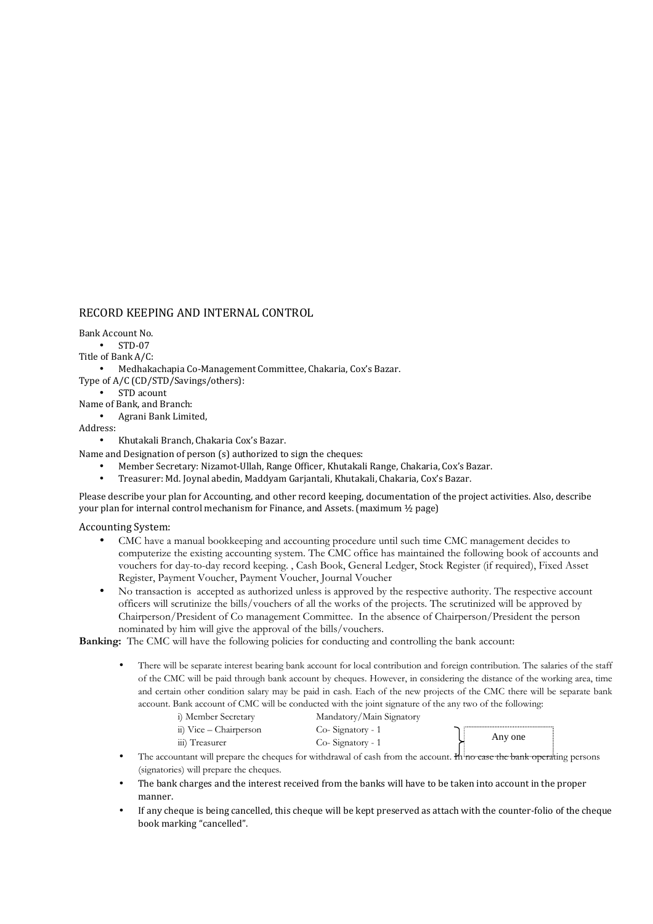#### RECORD KEEPING AND INTERNAL CONTROL

Bank Account No.

• STD-07

Title of Bank A/C:

- Medhakachapia Co-Management Committee, Chakaria, Cox's Bazar.
- Type of A/C (CD/STD/Savings/others):
	- STD acount
- Name of Bank, and Branch:
	- Agrani Bank Limited,

Address:

- Khutakali Branch, Chakaria Cox's Bazar.
- Name and Designation of person (s) authorized to sign the cheques:
	- Member Secretary: Nizamot-Ullah, Range Officer, Khutakali Range, Chakaria, Cox's Bazar.
	- Treasurer: Md. Joynal abedin, Maddyam Garjantali, Khutakali, Chakaria, Cox's Bazar.

Please describe your plan for Accounting, and other record keeping, documentation of the project activities. Also, describe your plan for internal control mechanism for Finance, and Assets. (maximum ½ page)

#### Accounting System:

- CMC have a manual bookkeeping and accounting procedure until such time CMC management decides to computerize the existing accounting system. The CMC office has maintained the following book of accounts and vouchers for day-to-day record keeping. , Cash Book, General Ledger, Stock Register (if required), Fixed Asset Register, Payment Voucher, Payment Voucher, Journal Voucher
- No transaction is accepted as authorized unless is approved by the respective authority. The respective account officers will scrutinize the bills/vouchers of all the works of the projects. The scrutinized will be approved by Chairperson/President of Co management Committee. In the absence of Chairperson/President the person nominated by him will give the approval of the bills/vouchers.

**Banking:** The CMC will have the following policies for conducting and controlling the bank account:

• There will be separate interest bearing bank account for local contribution and foreign contribution. The salaries of the staff of the CMC will be paid through bank account by cheques. However, in considering the distance of the working area, time and certain other condition salary may be paid in cash. Each of the new projects of the CMC there will be separate bank account. Bank account of CMC will be conducted with the joint signature of the any two of the following:

| i) Member Secretary    | Mandatory/Main Signatory |         |
|------------------------|--------------------------|---------|
| ii) Vice – Chairperson | Co-Signatory - 1         |         |
| iii) Treasurer         | Co-Signatory - 1         | Any one |
|                        |                          |         |

- The accountant will prepare the cheques for withdrawal of cash from the account. Hence the bank operating persons (signatories) will prepare the cheques.
- The bank charges and the interest received from the banks will have to be taken into account in the proper manner.
- If any cheque is being cancelled, this cheque will be kept preserved as attach with the counter-folio of the cheque book marking "cancelled".